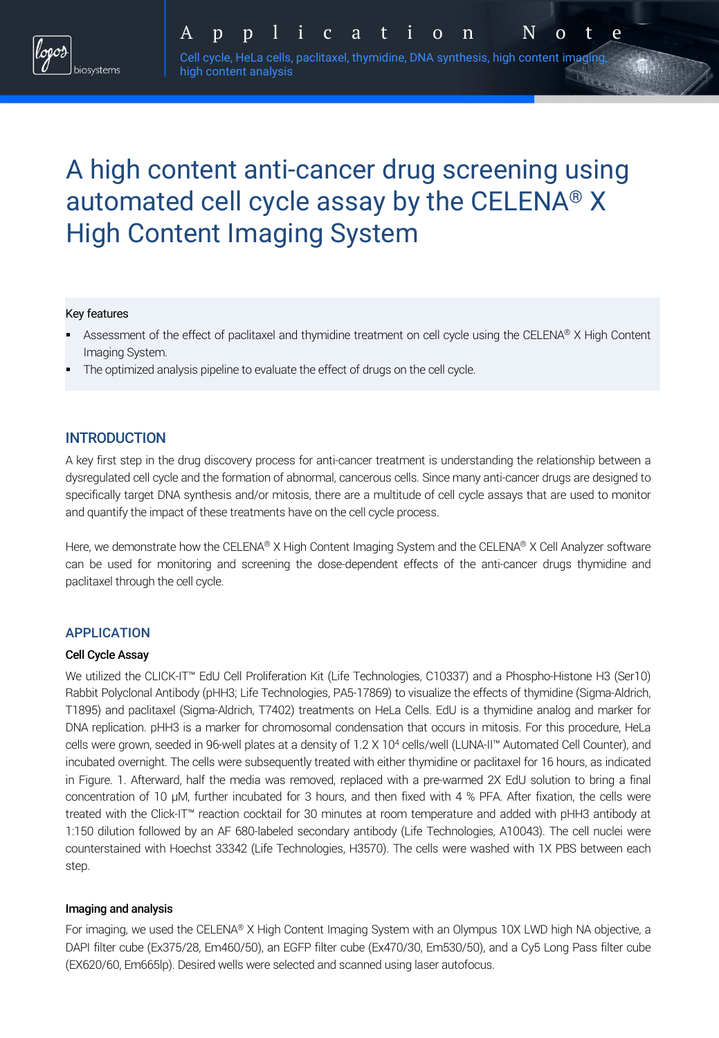# A high content anti-cancer drug screening using automated cell cycle assay by the CELENA® X High Content Imaging System

#### Key features

- § Assessment of the effect of paclitaxel and thymidine treatment on cell cycle using the CELENA® X High Content Imaging System.
- The optimized analysis pipeline to evaluate the effect of drugs on the cell cycle.

high content analysis

## INTRODUCTION

A key first step in the drug discovery process for anti-cancer treatment is understanding the relationship between a dysregulated cell cycle and the formation of abnormal, cancerous cells. Since many anti-cancer drugs are designed to specifically target DNA synthesis and/or mitosis, there are a multitude of cell cycle assays that are used to monitor and quantify the impact of these treatments have on the cell cycle process.

Here, we demonstrate how the CELENA® X High Content Imaging System and the CELENA® X Cell Analyzer software can be used for monitoring and screening the dose-dependent effects of the anti-cancer drugs thymidine and paclitaxel through the cell cycle.

### APPLICATION

#### Cell Cycle Assay

We utilized the CLICK-IT™ EdU Cell Proliferation Kit (Life Technologies, C10337) and a Phospho-Histone H3 (Ser10) Rabbit Polyclonal Antibody (pHH3; Life Technologies, PA5-17869) to visualize the effects of thymidine (Sigma-Aldrich, T1895) and paclitaxel (Sigma-Aldrich, T7402) treatments on HeLa Cells. EdU is a thymidine analog and marker for DNA replication. pHH3 is a marker for chromosomal condensation that occurs in mitosis. For this procedure, HeLa cells were grown, seeded in 96-well plates at a density of 1.2 X 104 cells/well (LUNA-II™ Automated Cell Counter), and incubated overnight. The cells were subsequently treated with either thymidine or paclitaxel for 16 hours, as indicated in Figure. 1. Afterward, half the media was removed, replaced with a pre-warmed 2X EdU solution to bring a final concentration of 10 µM, further incubated for 3 hours, and then fixed with 4 % PFA. After fixation, the cells were treated with the Click-IT™ reaction cocktail for 30 minutes at room temperature and added with pHH3 antibody at 1:150 dilution followed by an AF 680-labeled secondary antibody (Life Technologies, A10043). The cell nuclei were counterstained with Hoechst 33342 (Life Technologies, H3570). The cells were washed with 1X PBS between each step.

#### Imaging and analysis

For imaging, we used the CELENA® X High Content Imaging System with an Olympus 10X LWD high NA objective, a DAPI filter cube (Ex375/28, Em460/50), an EGFP filter cube (Ex470/30, Em530/50), and a Cy5 Long Pass filter cube (EX620/60, Em665lp). Desired wells were selected and scanned using laser autofocus.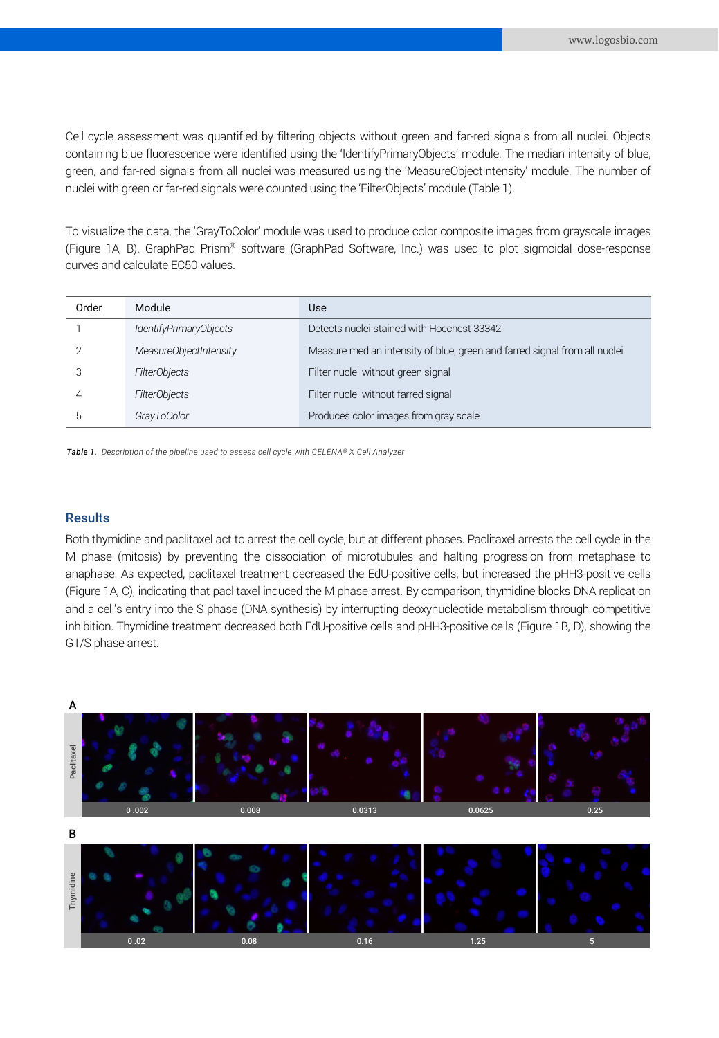Cell cycle assessment was quantified by filtering objects without green and far-red signals from all nuclei. Objects containing blue fluorescence were identified using the 'IdentifyPrimaryObjects' module. The median intensity of blue, green, and far-red signals from all nuclei was measured using the 'MeasureObjectIntensity' module. The number of nuclei with green or far-red signals were counted using the 'FilterObjects' module (Table 1).

To visualize the data, the 'GrayToColor' module was used to produce color composite images from grayscale images (Figure 1A, B). GraphPad Prism® software (GraphPad Software, Inc.) was used to plot sigmoidal dose-response curves and calculate EC50 values.

| Order | Module                 | Use                                                                       |
|-------|------------------------|---------------------------------------------------------------------------|
|       | IdentifyPrimaryObjects | Detects nuclei stained with Hoechest 33342                                |
|       | MeasureObjectIntensity | Measure median intensity of blue, green and farred signal from all nuclei |
|       | <b>FilterObjects</b>   | Filter nuclei without green signal                                        |
|       | <b>FilterObjects</b>   | Filter nuclei without farred signal                                       |
| 5.    | GrayToColor            | Produces color images from gray scale                                     |

*Table 1. Description of the pipeline used to assess cell cycle with CELENA® X Cell Analyzer*

#### **Results**

Both thymidine and paclitaxel act to arrest the cell cycle, but at different phases. Paclitaxel arrests the cell cycle in the M phase (mitosis) by preventing the dissociation of microtubules and halting progression from metaphase to anaphase. As expected, paclitaxel treatment decreased the EdU-positive cells, but increased the pHH3-positive cells (Figure 1A, C), indicating that paclitaxel induced the M phase arrest. By comparison, thymidine blocks DNA replication and a cell's entry into the S phase (DNA synthesis) by interrupting deoxynucleotide metabolism through competitive inhibition. Thymidine treatment decreased both EdU-positive cells and pHH3-positive cells (Figure 1B, D), showing the G1/S phase arrest.